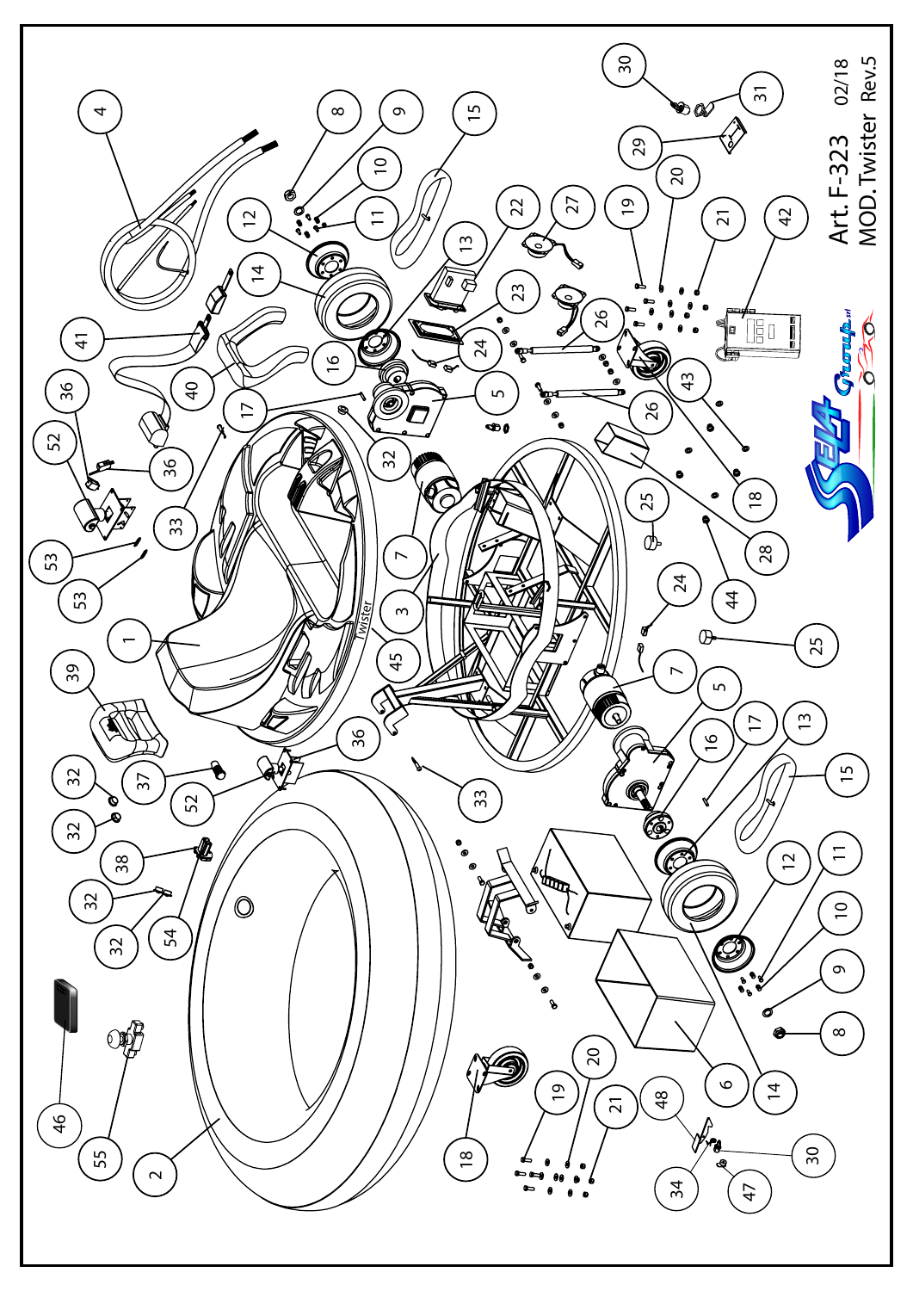